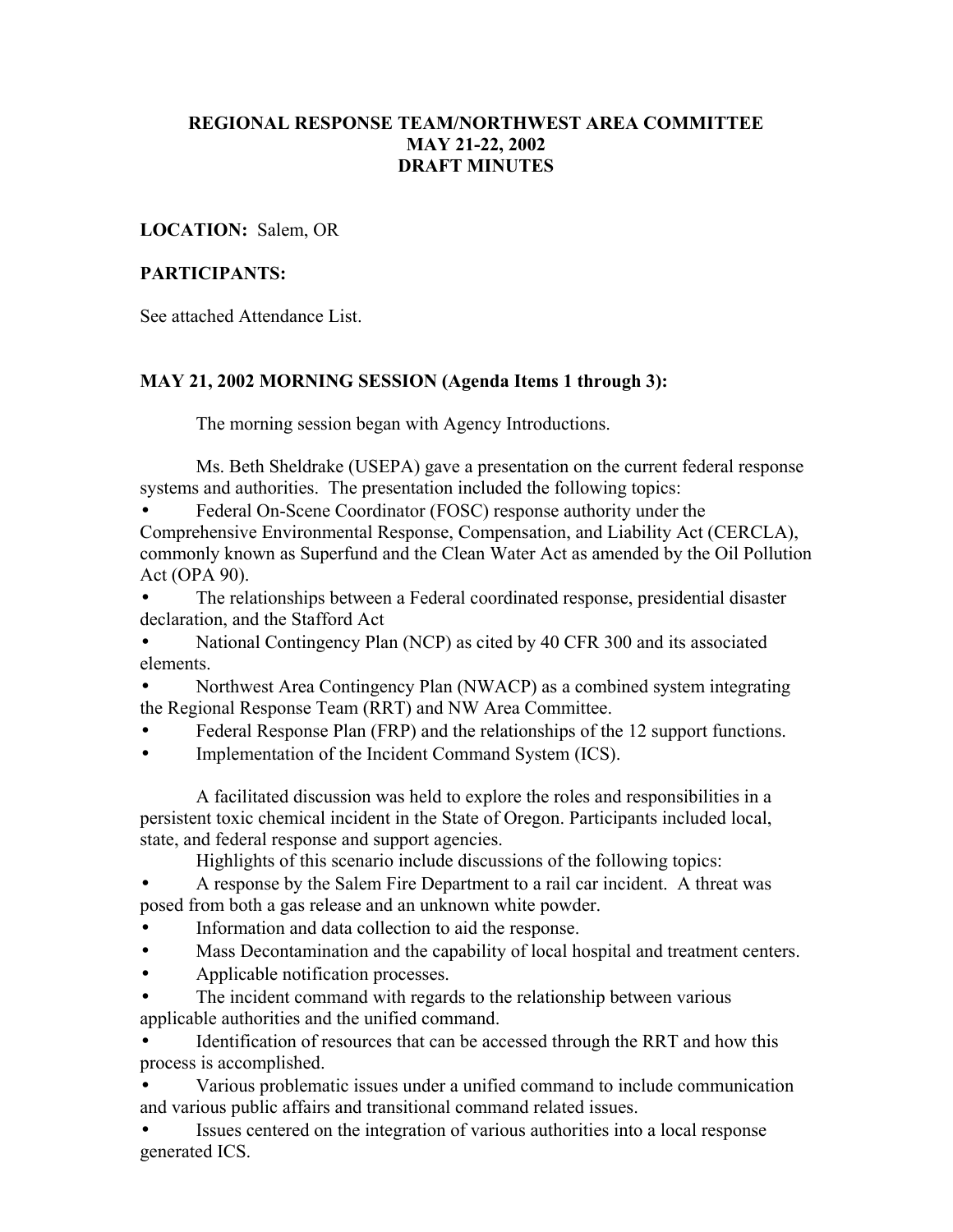### **REGIONAL RESPONSE TEAM/NORTHWEST AREA COMMITTEE MAY 21-22, 2002 DRAFT MINUTES**

**LOCATION:** Salem, OR

### **PARTICIPANTS:**

See attached Attendance List.

## **MAY 21, 2002 MORNING SESSION (Agenda Items 1 through 3):**

The morning session began with Agency Introductions.

Ms. Beth Sheldrake (USEPA) gave a presentation on the current federal response systems and authorities. The presentation included the following topics:

• Federal On-Scene Coordinator (FOSC) response authority under the Comprehensive Environmental Response, Compensation, and Liability Act (CERCLA), commonly known as Superfund and the Clean Water Act as amended by the Oil Pollution Act (OPA 90).

• The relationships between a Federal coordinated response, presidential disaster declaration, and the Stafford Act

• National Contingency Plan (NCP) as cited by 40 CFR 300 and its associated elements.

• Northwest Area Contingency Plan (NWACP) as a combined system integrating the Regional Response Team (RRT) and NW Area Committee.

• Federal Response Plan (FRP) and the relationships of the 12 support functions.

Implementation of the Incident Command System (ICS).

A facilitated discussion was held to explore the roles and responsibilities in a persistent toxic chemical incident in the State of Oregon. Participants included local, state, and federal response and support agencies.

Highlights of this scenario include discussions of the following topics:

• A response by the Salem Fire Department to a rail car incident. A threat was posed from both a gas release and an unknown white powder.

- Information and data collection to aid the response.
- Mass Decontamination and the capability of local hospital and treatment centers.
- Applicable notification processes.
- The incident command with regards to the relationship between various applicable authorities and the unified command.

Identification of resources that can be accessed through the RRT and how this process is accomplished.

• Various problematic issues under a unified command to include communication and various public affairs and transitional command related issues.

• Issues centered on the integration of various authorities into a local response generated ICS.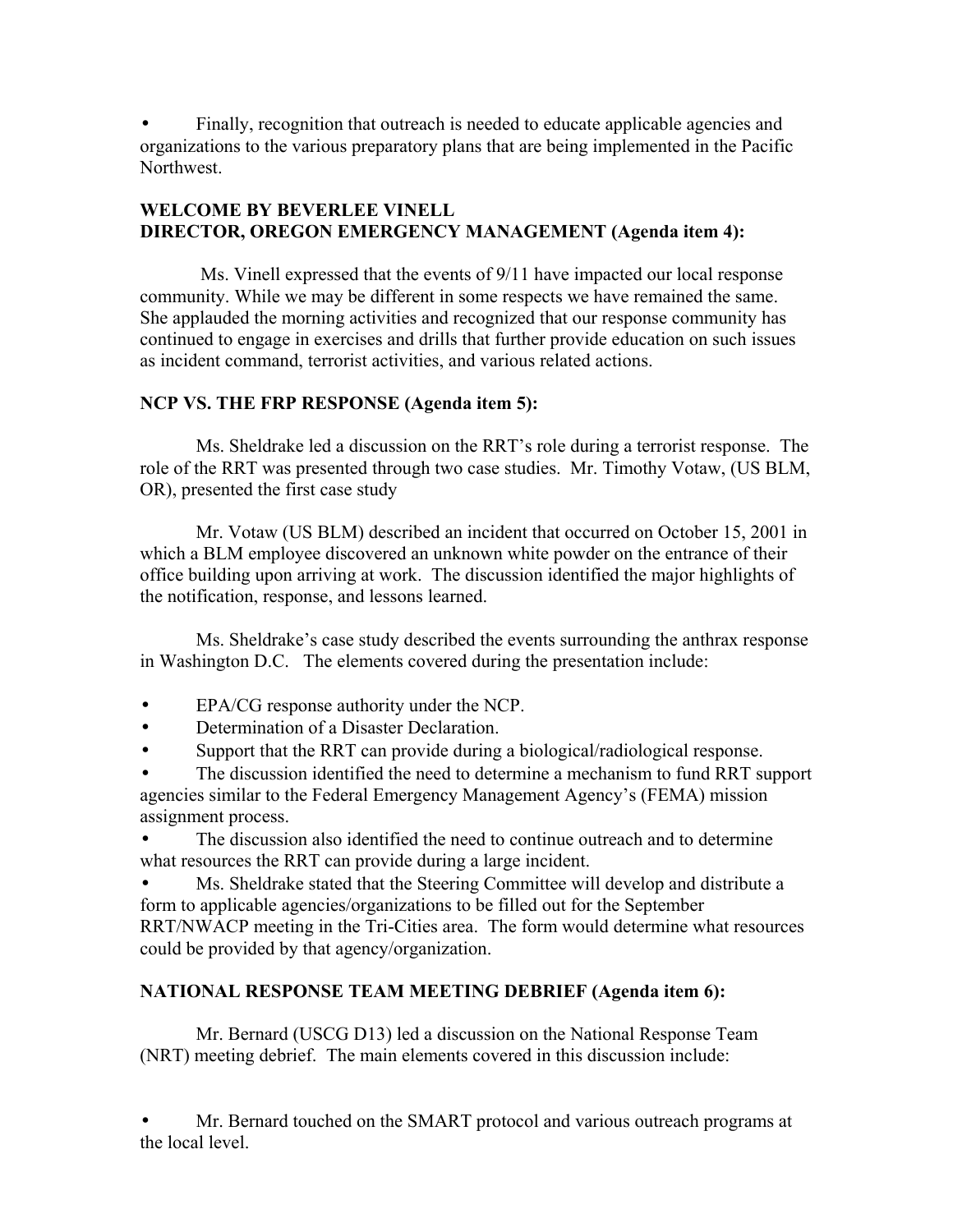• Finally, recognition that outreach is needed to educate applicable agencies and organizations to the various preparatory plans that are being implemented in the Pacific Northwest.

## **WELCOME BY BEVERLEE VINELL DIRECTOR, OREGON EMERGENCY MANAGEMENT (Agenda item 4):**

 Ms. Vinell expressed that the events of 9/11 have impacted our local response community. While we may be different in some respects we have remained the same. She applauded the morning activities and recognized that our response community has continued to engage in exercises and drills that further provide education on such issues as incident command, terrorist activities, and various related actions.

# **NCP VS. THE FRP RESPONSE (Agenda item 5):**

Ms. Sheldrake led a discussion on the RRT's role during a terrorist response. The role of the RRT was presented through two case studies. Mr. Timothy Votaw, (US BLM, OR), presented the first case study

Mr. Votaw (US BLM) described an incident that occurred on October 15, 2001 in which a BLM employee discovered an unknown white powder on the entrance of their office building upon arriving at work. The discussion identified the major highlights of the notification, response, and lessons learned.

Ms. Sheldrake's case study described the events surrounding the anthrax response in Washington D.C. The elements covered during the presentation include:

- EPA/CG response authority under the NCP.
- Determination of a Disaster Declaration.
- Support that the RRT can provide during a biological/radiological response.

The discussion identified the need to determine a mechanism to fund RRT support agencies similar to the Federal Emergency Management Agency's (FEMA) mission assignment process.

The discussion also identified the need to continue outreach and to determine what resources the RRT can provide during a large incident.

• Ms. Sheldrake stated that the Steering Committee will develop and distribute a form to applicable agencies/organizations to be filled out for the September RRT/NWACP meeting in the Tri-Cities area. The form would determine what resources could be provided by that agency/organization.

# **NATIONAL RESPONSE TEAM MEETING DEBRIEF (Agenda item 6):**

Mr. Bernard (USCG D13) led a discussion on the National Response Team (NRT) meeting debrief. The main elements covered in this discussion include:

Mr. Bernard touched on the SMART protocol and various outreach programs at the local level.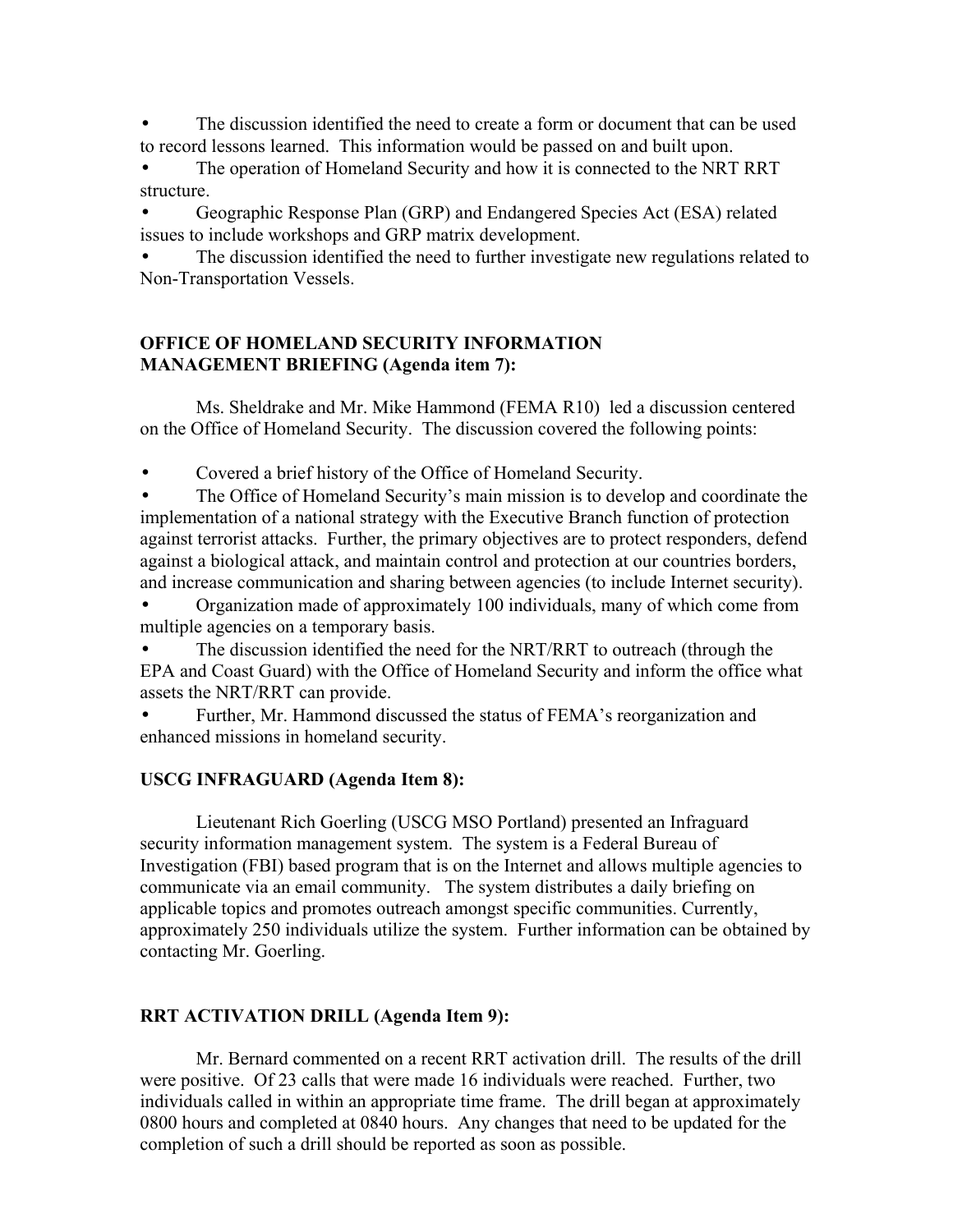The discussion identified the need to create a form or document that can be used to record lessons learned. This information would be passed on and built upon.

The operation of Homeland Security and how it is connected to the NRT RRT structure.

• Geographic Response Plan (GRP) and Endangered Species Act (ESA) related issues to include workshops and GRP matrix development.

The discussion identified the need to further investigate new regulations related to Non-Transportation Vessels.

### **OFFICE OF HOMELAND SECURITY INFORMATION MANAGEMENT BRIEFING (Agenda item 7):**

Ms. Sheldrake and Mr. Mike Hammond (FEMA R10) led a discussion centered on the Office of Homeland Security. The discussion covered the following points:

• Covered a brief history of the Office of Homeland Security.

The Office of Homeland Security's main mission is to develop and coordinate the implementation of a national strategy with the Executive Branch function of protection against terrorist attacks. Further, the primary objectives are to protect responders, defend against a biological attack, and maintain control and protection at our countries borders, and increase communication and sharing between agencies (to include Internet security).

• Organization made of approximately 100 individuals, many of which come from multiple agencies on a temporary basis.

The discussion identified the need for the NRT/RRT to outreach (through the EPA and Coast Guard) with the Office of Homeland Security and inform the office what assets the NRT/RRT can provide.

• Further, Mr. Hammond discussed the status of FEMA's reorganization and enhanced missions in homeland security.

## **USCG INFRAGUARD (Agenda Item 8):**

 Lieutenant Rich Goerling (USCG MSO Portland) presented an Infraguard security information management system. The system is a Federal Bureau of Investigation (FBI) based program that is on the Internet and allows multiple agencies to communicate via an email community. The system distributes a daily briefing on applicable topics and promotes outreach amongst specific communities. Currently, approximately 250 individuals utilize the system. Further information can be obtained by contacting Mr. Goerling.

## **RRT ACTIVATION DRILL (Agenda Item 9):**

Mr. Bernard commented on a recent RRT activation drill. The results of the drill were positive. Of 23 calls that were made 16 individuals were reached. Further, two individuals called in within an appropriate time frame. The drill began at approximately 0800 hours and completed at 0840 hours. Any changes that need to be updated for the completion of such a drill should be reported as soon as possible.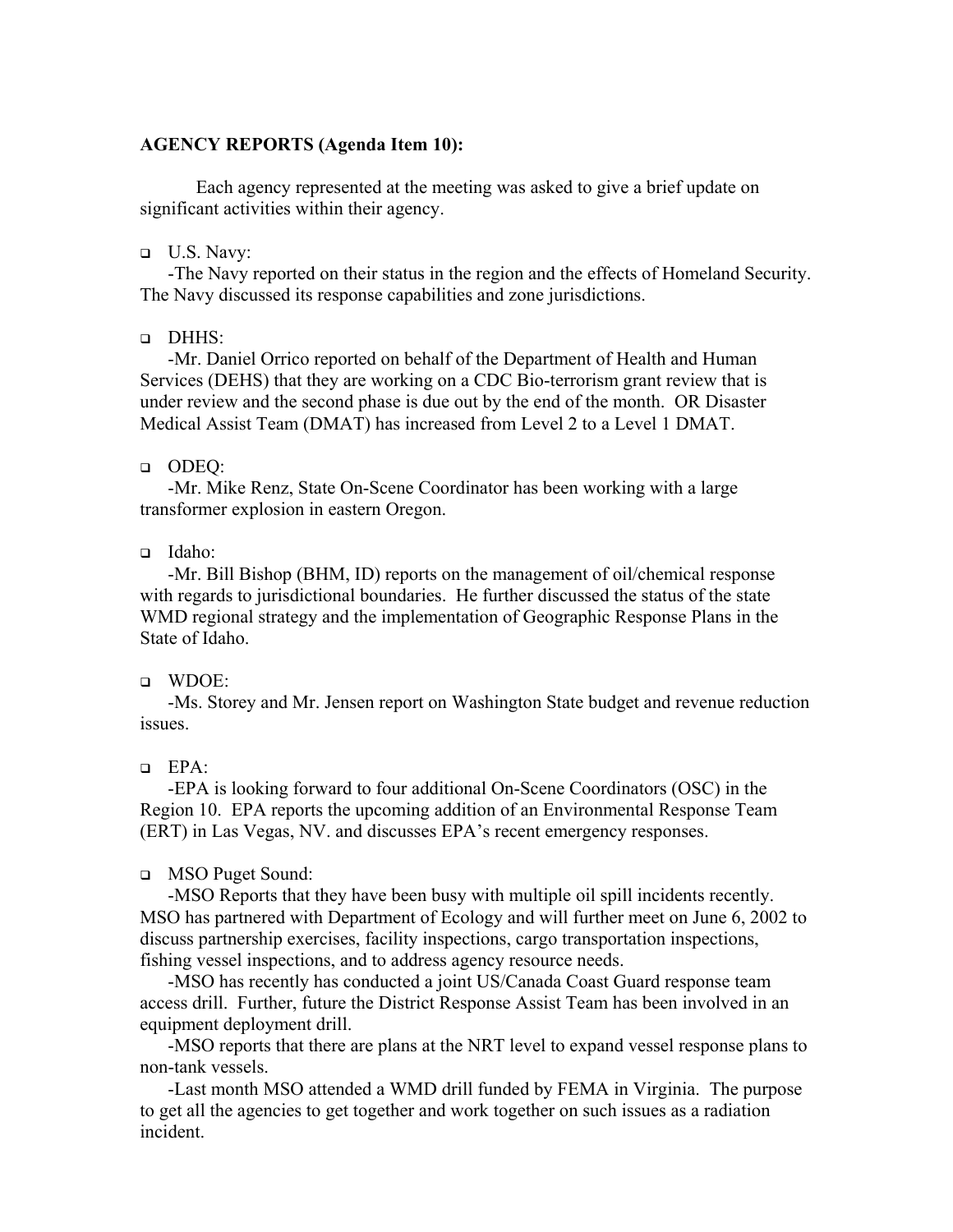#### **AGENCY REPORTS (Agenda Item 10):**

 Each agency represented at the meeting was asked to give a brief update on significant activities within their agency.

 $\Box$  U.S. Navy:

-The Navy reported on their status in the region and the effects of Homeland Security. The Navy discussed its response capabilities and zone jurisdictions.

DHHS:

-Mr. Daniel Orrico reported on behalf of the Department of Health and Human Services (DEHS) that they are working on a CDC Bio-terrorism grant review that is under review and the second phase is due out by the end of the month. OR Disaster Medical Assist Team (DMAT) has increased from Level 2 to a Level 1 DMAT.

#### ODEQ:

-Mr. Mike Renz, State On-Scene Coordinator has been working with a large transformer explosion in eastern Oregon.

#### Idaho:

-Mr. Bill Bishop (BHM, ID) reports on the management of oil/chemical response with regards to jurisdictional boundaries. He further discussed the status of the state WMD regional strategy and the implementation of Geographic Response Plans in the State of Idaho.

### WDOE:

-Ms. Storey and Mr. Jensen report on Washington State budget and revenue reduction issues.

### EPA:

-EPA is looking forward to four additional On-Scene Coordinators (OSC) in the Region 10. EPA reports the upcoming addition of an Environmental Response Team (ERT) in Las Vegas, NV. and discusses EPA's recent emergency responses.

### MSO Puget Sound:

-MSO Reports that they have been busy with multiple oil spill incidents recently. MSO has partnered with Department of Ecology and will further meet on June 6, 2002 to discuss partnership exercises, facility inspections, cargo transportation inspections, fishing vessel inspections, and to address agency resource needs.

-MSO has recently has conducted a joint US/Canada Coast Guard response team access drill. Further, future the District Response Assist Team has been involved in an equipment deployment drill.

-MSO reports that there are plans at the NRT level to expand vessel response plans to non-tank vessels.

-Last month MSO attended a WMD drill funded by FEMA in Virginia. The purpose to get all the agencies to get together and work together on such issues as a radiation incident.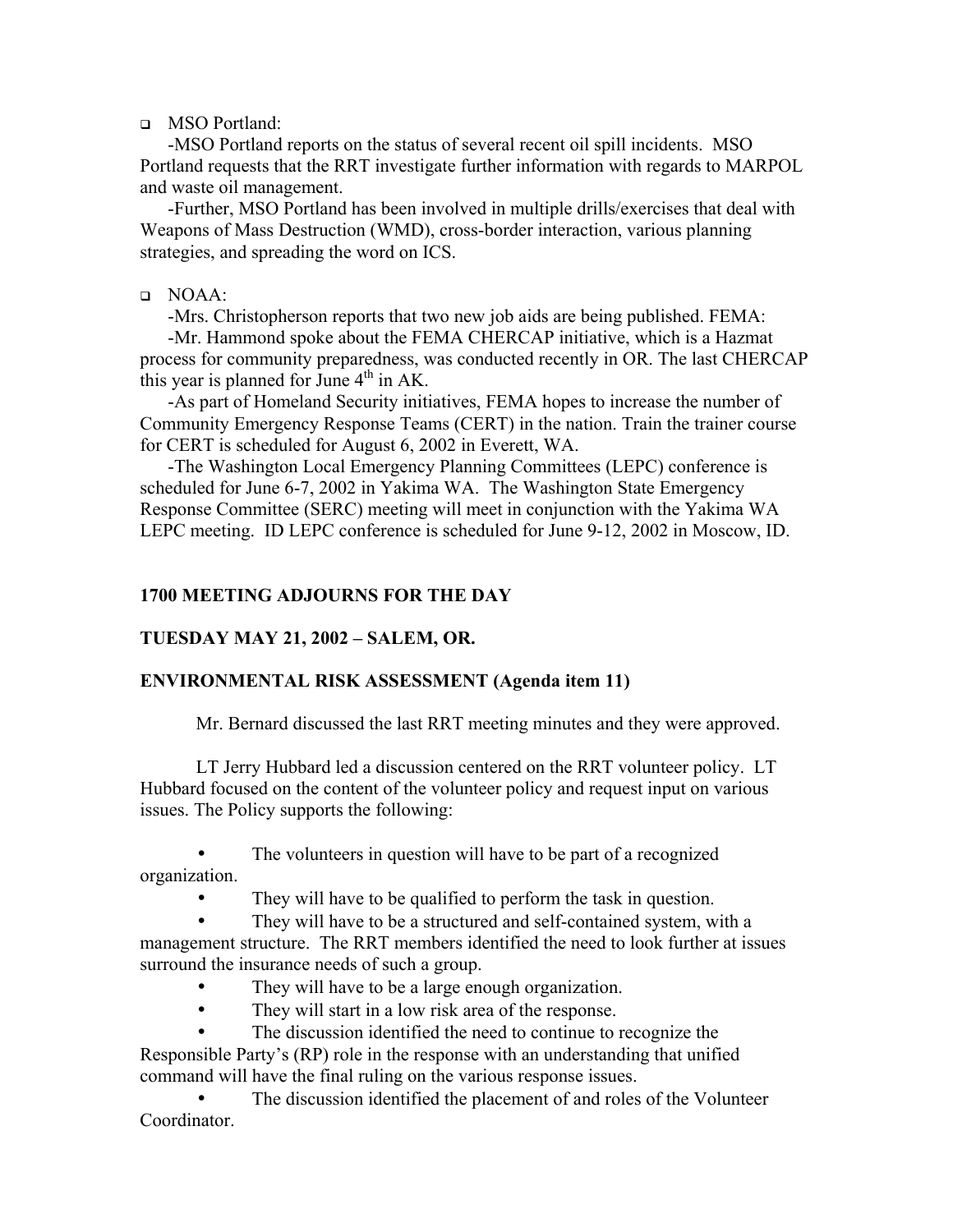MSO Portland:

-MSO Portland reports on the status of several recent oil spill incidents. MSO Portland requests that the RRT investigate further information with regards to MARPOL and waste oil management.

 -Further, MSO Portland has been involved in multiple drills/exercises that deal with Weapons of Mass Destruction (WMD), cross-border interaction, various planning strategies, and spreading the word on ICS.

### NOAA:

-Mrs. Christopherson reports that two new job aids are being published. FEMA:

-Mr. Hammond spoke about the FEMA CHERCAP initiative, which is a Hazmat process for community preparedness, was conducted recently in OR. The last CHERCAP this year is planned for June  $4<sup>th</sup>$  in AK.

-As part of Homeland Security initiatives, FEMA hopes to increase the number of Community Emergency Response Teams (CERT) in the nation. Train the trainer course for CERT is scheduled for August 6, 2002 in Everett, WA.

-The Washington Local Emergency Planning Committees (LEPC) conference is scheduled for June 6-7, 2002 in Yakima WA. The Washington State Emergency Response Committee (SERC) meeting will meet in conjunction with the Yakima WA LEPC meeting. ID LEPC conference is scheduled for June 9-12, 2002 in Moscow, ID.

## **1700 MEETING ADJOURNS FOR THE DAY**

### **TUESDAY MAY 21, 2002 – SALEM, OR.**

### **ENVIRONMENTAL RISK ASSESSMENT (Agenda item 11)**

Mr. Bernard discussed the last RRT meeting minutes and they were approved.

LT Jerry Hubbard led a discussion centered on the RRT volunteer policy. LT Hubbard focused on the content of the volunteer policy and request input on various issues. The Policy supports the following:

The volunteers in question will have to be part of a recognized organization.

They will have to be qualified to perform the task in question.

They will have to be a structured and self-contained system, with a management structure. The RRT members identified the need to look further at issues surround the insurance needs of such a group.

- They will have to be a large enough organization.
- They will start in a low risk area of the response.
- The discussion identified the need to continue to recognize the

Responsible Party's (RP) role in the response with an understanding that unified command will have the final ruling on the various response issues.

The discussion identified the placement of and roles of the Volunteer **Coordinator**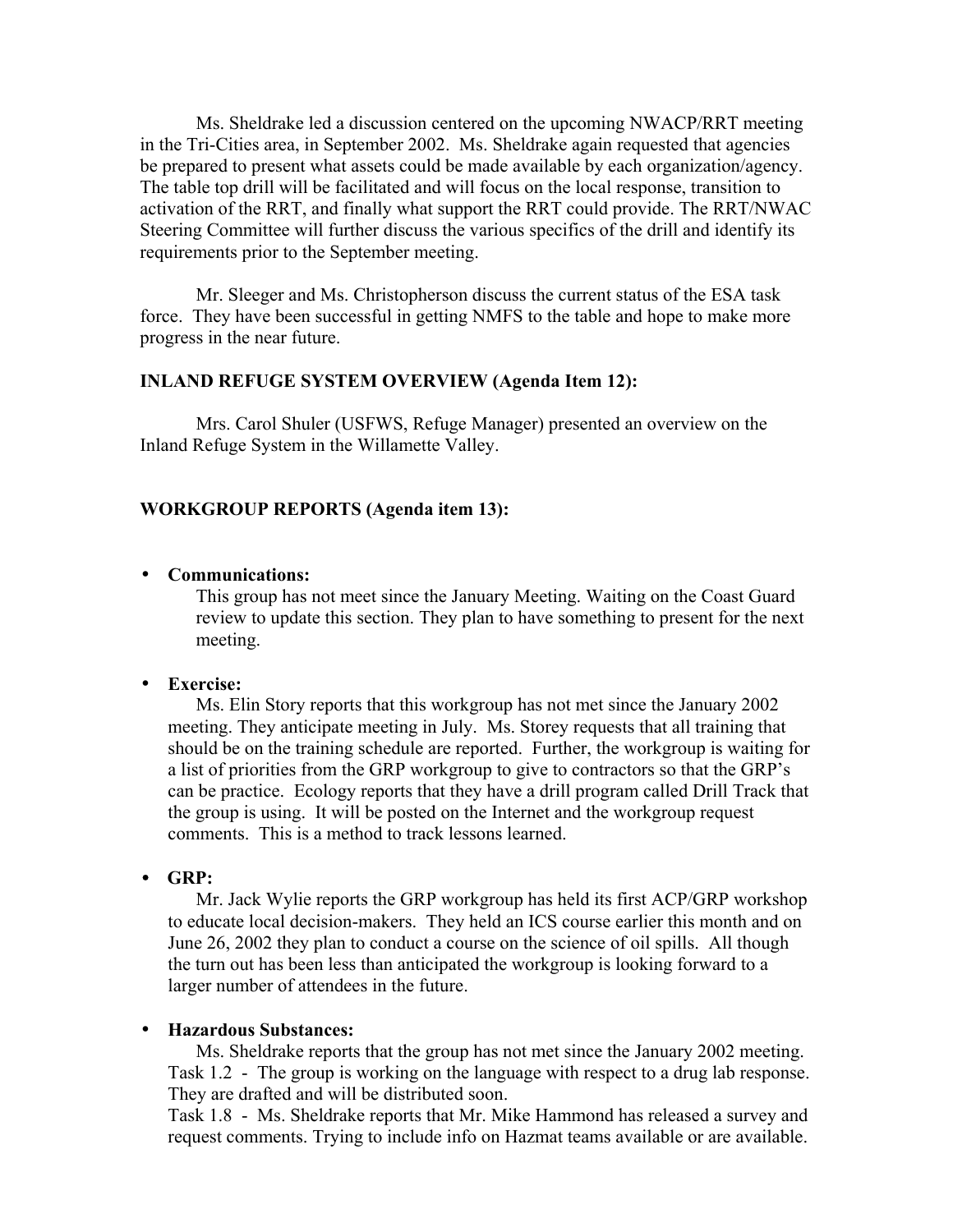Ms. Sheldrake led a discussion centered on the upcoming NWACP/RRT meeting in the Tri-Cities area, in September 2002. Ms. Sheldrake again requested that agencies be prepared to present what assets could be made available by each organization/agency. The table top drill will be facilitated and will focus on the local response, transition to activation of the RRT, and finally what support the RRT could provide. The RRT/NWAC Steering Committee will further discuss the various specifics of the drill and identify its requirements prior to the September meeting.

Mr. Sleeger and Ms. Christopherson discuss the current status of the ESA task force. They have been successful in getting NMFS to the table and hope to make more progress in the near future.

#### **INLAND REFUGE SYSTEM OVERVIEW (Agenda Item 12):**

 Mrs. Carol Shuler (USFWS, Refuge Manager) presented an overview on the Inland Refuge System in the Willamette Valley.

#### **WORKGROUP REPORTS (Agenda item 13):**

#### • **Communications:**

This group has not meet since the January Meeting. Waiting on the Coast Guard review to update this section. They plan to have something to present for the next meeting.

### • **Exercise:**

Ms. Elin Story reports that this workgroup has not met since the January 2002 meeting. They anticipate meeting in July. Ms. Storey requests that all training that should be on the training schedule are reported. Further, the workgroup is waiting for a list of priorities from the GRP workgroup to give to contractors so that the GRP's can be practice. Ecology reports that they have a drill program called Drill Track that the group is using. It will be posted on the Internet and the workgroup request comments. This is a method to track lessons learned.

#### • **GRP:**

Mr. Jack Wylie reports the GRP workgroup has held its first ACP/GRP workshop to educate local decision-makers. They held an ICS course earlier this month and on June 26, 2002 they plan to conduct a course on the science of oil spills. All though the turn out has been less than anticipated the workgroup is looking forward to a larger number of attendees in the future.

#### • **Hazardous Substances:**

Ms. Sheldrake reports that the group has not met since the January 2002 meeting. Task 1.2 - The group is working on the language with respect to a drug lab response. They are drafted and will be distributed soon.

Task 1.8 - Ms. Sheldrake reports that Mr. Mike Hammond has released a survey and request comments. Trying to include info on Hazmat teams available or are available.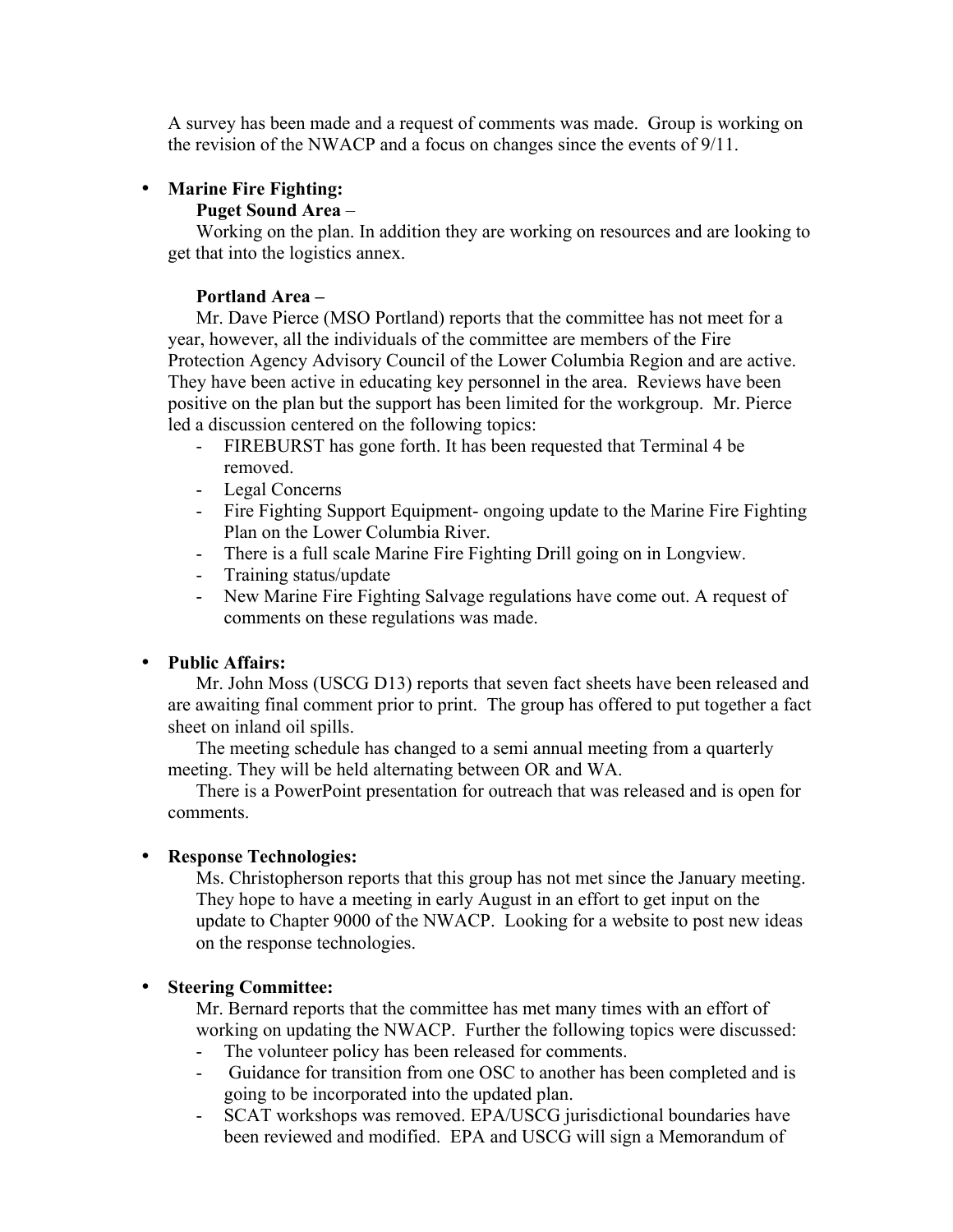A survey has been made and a request of comments was made. Group is working on the revision of the NWACP and a focus on changes since the events of 9/11.

### • **Marine Fire Fighting:**

### **Puget Sound Area** –

Working on the plan. In addition they are working on resources and are looking to get that into the logistics annex.

### **Portland Area –**

Mr. Dave Pierce (MSO Portland) reports that the committee has not meet for a year, however, all the individuals of the committee are members of the Fire Protection Agency Advisory Council of the Lower Columbia Region and are active. They have been active in educating key personnel in the area. Reviews have been positive on the plan but the support has been limited for the workgroup. Mr. Pierce led a discussion centered on the following topics:

- FIREBURST has gone forth. It has been requested that Terminal 4 be removed.
- Legal Concerns
- Fire Fighting Support Equipment- ongoing update to the Marine Fire Fighting Plan on the Lower Columbia River.
- There is a full scale Marine Fire Fighting Drill going on in Longview.
- Training status/update
- New Marine Fire Fighting Salvage regulations have come out. A request of comments on these regulations was made.

## • **Public Affairs:**

Mr. John Moss (USCG D13) reports that seven fact sheets have been released and are awaiting final comment prior to print. The group has offered to put together a fact sheet on inland oil spills.

The meeting schedule has changed to a semi annual meeting from a quarterly meeting. They will be held alternating between OR and WA.

There is a PowerPoint presentation for outreach that was released and is open for comments.

### • **Response Technologies:**

Ms. Christopherson reports that this group has not met since the January meeting. They hope to have a meeting in early August in an effort to get input on the update to Chapter 9000 of the NWACP. Looking for a website to post new ideas on the response technologies.

### • **Steering Committee:**

Mr. Bernard reports that the committee has met many times with an effort of working on updating the NWACP. Further the following topics were discussed:

- The volunteer policy has been released for comments.
- Guidance for transition from one OSC to another has been completed and is going to be incorporated into the updated plan.
- SCAT workshops was removed. EPA/USCG jurisdictional boundaries have been reviewed and modified. EPA and USCG will sign a Memorandum of